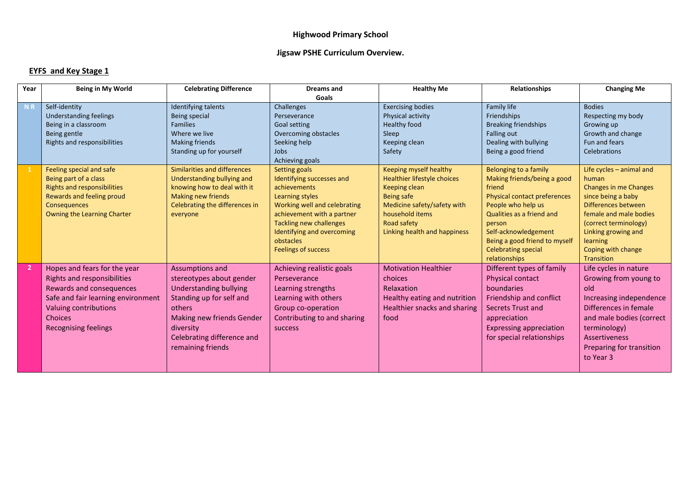## **Highwood Primary School**

## **Jigsaw PSHE Curriculum Overview.**

## **EYFS and Key Stage 1**

| Year           | <b>Being in My World</b>                                                                                                                                                                                | <b>Celebrating Difference</b>                                                                                                                                                                                   | Dreams and                                                                                                                                                                                                                                             | <b>Healthy Me</b>                                                                                                                                                                            | <b>Relationships</b>                                                                                                                                                                                                                                                       | <b>Changing Me</b>                                                                                                                                                                                                                                |
|----------------|---------------------------------------------------------------------------------------------------------------------------------------------------------------------------------------------------------|-----------------------------------------------------------------------------------------------------------------------------------------------------------------------------------------------------------------|--------------------------------------------------------------------------------------------------------------------------------------------------------------------------------------------------------------------------------------------------------|----------------------------------------------------------------------------------------------------------------------------------------------------------------------------------------------|----------------------------------------------------------------------------------------------------------------------------------------------------------------------------------------------------------------------------------------------------------------------------|---------------------------------------------------------------------------------------------------------------------------------------------------------------------------------------------------------------------------------------------------|
|                |                                                                                                                                                                                                         |                                                                                                                                                                                                                 | Goals                                                                                                                                                                                                                                                  |                                                                                                                                                                                              |                                                                                                                                                                                                                                                                            |                                                                                                                                                                                                                                                   |
| <b>NR</b>      | Self-identity<br><b>Understanding feelings</b><br>Being in a classroom<br>Being gentle<br>Rights and responsibilities                                                                                   | Identifying talents<br>Being special<br><b>Families</b><br>Where we live<br><b>Making friends</b><br>Standing up for yourself                                                                                   | Challenges<br>Perseverance<br><b>Goal setting</b><br>Overcoming obstacles<br>Seeking help<br><b>Jobs</b><br>Achieving goals                                                                                                                            | <b>Exercising bodies</b><br>Physical activity<br><b>Healthy food</b><br>Sleep<br>Keeping clean<br>Safety                                                                                     | Family life<br>Friendships<br><b>Breaking friendships</b><br>Falling out<br>Dealing with bullying<br>Being a good friend                                                                                                                                                   | <b>Bodies</b><br>Respecting my body<br>Growing up<br>Growth and change<br>Fun and fears<br>Celebrations                                                                                                                                           |
|                | Feeling special and safe<br>Being part of a class<br><b>Rights and responsibilities</b><br>Rewards and feeling proud<br>Consequences<br>Owning the Learning Charter                                     | Similarities and differences<br><b>Understanding bullying and</b><br>knowing how to deal with it<br>Making new friends<br>Celebrating the differences in<br>everyone                                            | Setting goals<br>Identifying successes and<br>achievements<br>Learning styles<br>Working well and celebrating<br>achievement with a partner<br><b>Tackling new challenges</b><br>Identifying and overcoming<br>obstacles<br><b>Feelings of success</b> | Keeping myself healthy<br>Healthier lifestyle choices<br>Keeping clean<br><b>Being safe</b><br>Medicine safety/safety with<br>household items<br>Road safety<br>Linking health and happiness | Belonging to a family<br>Making friends/being a good<br>friend<br><b>Physical contact preferences</b><br>People who help us<br>Qualities as a friend and<br>person<br>Self-acknowledgement<br>Being a good friend to myself<br><b>Celebrating special</b><br>relationships | Life cycles $-$ animal and<br>human<br><b>Changes in me Changes</b><br>since being a baby<br>Differences between<br>female and male bodies<br>(correct terminology)<br>Linking growing and<br>learning<br>Coping with change<br><b>Transition</b> |
| $\overline{2}$ | Hopes and fears for the year<br>Rights and responsibilities<br>Rewards and consequences<br>Safe and fair learning environment<br>Valuing contributions<br><b>Choices</b><br><b>Recognising feelings</b> | <b>Assumptions and</b><br>stereotypes about gender<br>Understanding bullying<br>Standing up for self and<br>others<br>Making new friends Gender<br>diversity<br>Celebrating difference and<br>remaining friends | Achieving realistic goals<br>Perseverance<br>Learning strengths<br>Learning with others<br>Group co-operation<br>Contributing to and sharing<br><b>SUCCESS</b>                                                                                         | <b>Motivation Healthier</b><br>choices<br>Relaxation<br>Healthy eating and nutrition<br>Healthier snacks and sharing<br>food                                                                 | Different types of family<br><b>Physical contact</b><br>boundaries<br>Friendship and conflict<br>Secrets Trust and<br>appreciation<br><b>Expressing appreciation</b><br>for special relationships                                                                          | Life cycles in nature<br>Growing from young to<br>old<br>Increasing independence<br>Differences in female<br>and male bodies (correct<br>terminology)<br><b>Assertiveness</b><br>Preparing for transition<br>to Year 3                            |